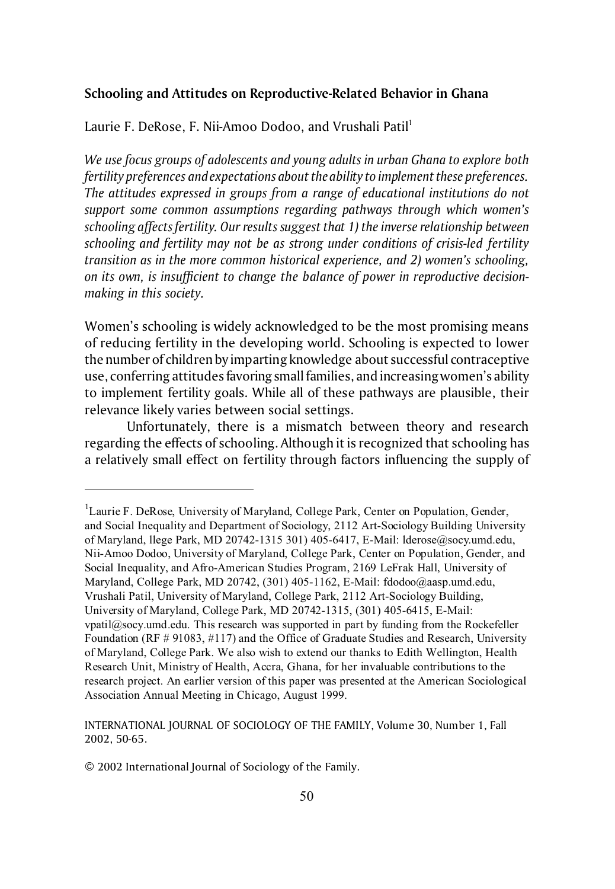### **Schooling and Attitudes on Reproductive-Related Behavior in Ghana**

Laurie F. DeRose, F. Nii-Amoo Dodoo, and Vrushali Patil<sup>1</sup>

*We use focus groups of adolescents and young adults in urban Ghana to explore both fertility preferences and expectations about the ability to implement these preferences. The attitudes expressed in groups from a range of educational institutions do not support some common assumptions regarding pathways through which women's schooling affects fertility. Our results suggest that 1) the inverse relationship between schooling and fertility may not be as strong under conditions of crisis-led fertility transition as in the more common historical experience, and 2) women's schooling, on its own, is insufficient to change the balance of power in reproductive decisionmaking in this society.*

Women's schooling is widely acknowledged to be the most promising means of reducing fertility in the developing world. Schooling is expected to lower the number of children by imparting knowledge about successful contraceptive use, conferring attitudes favoringsmall families, and increasing women's ability to implement fertility goals. While all of these pathways are plausible, their relevance likely varies between social settings.

Unfortunately, there is a mismatch between theory and research regarding the effects of schooling. Although it is recognized that schooling has a relatively small effect on fertility through factors influencing the supply of

© 2002 International Journal of Sociology of the Family.

<sup>&</sup>lt;sup>1</sup>Laurie F. DeRose, University of Maryland, College Park, Center on Population, Gender, and Social Inequality and Department of Sociology, 2112 Art-Sociology Building University of Maryland, llege Park, MD 20742-1315 301) 405-6417, E-Mail: lderose@socy.umd.edu, Nii-Amoo Dodoo, University of Maryland, College Park, Center on Population, Gender, and Social Inequality, and Afro-American Studies Program, 2169 LeFrak Hall, University of Maryland, College Park, MD 20742, (301) 405-1162, E-Mail: fdodoo@aasp.umd.edu, Vrushali Patil, University of Maryland, College Park, 2112 Art-Sociology Building, University of Maryland, College Park, MD 20742-1315, (301) 405-6415, E-Mail: vpatil@socy.umd.edu. This research was supported in part by funding from the Rockefeller Foundation (RF # 91083, #117) and the Office of Graduate Studies and Research, University of Maryland, College Park. We also wish to extend our thanks to Edith Wellington, Health Research Unit, Ministry of Health, Accra, Ghana, for her invaluable contributions to the research project. An earlier version of this paper was presented at the American Sociological Association Annual Meeting in Chicago, August 1999.

INTERNATIONAL JOURNAL OF SOCIOLOGY OF THE FAMILY, Volume 30, Number 1, Fall 2002, 50-65.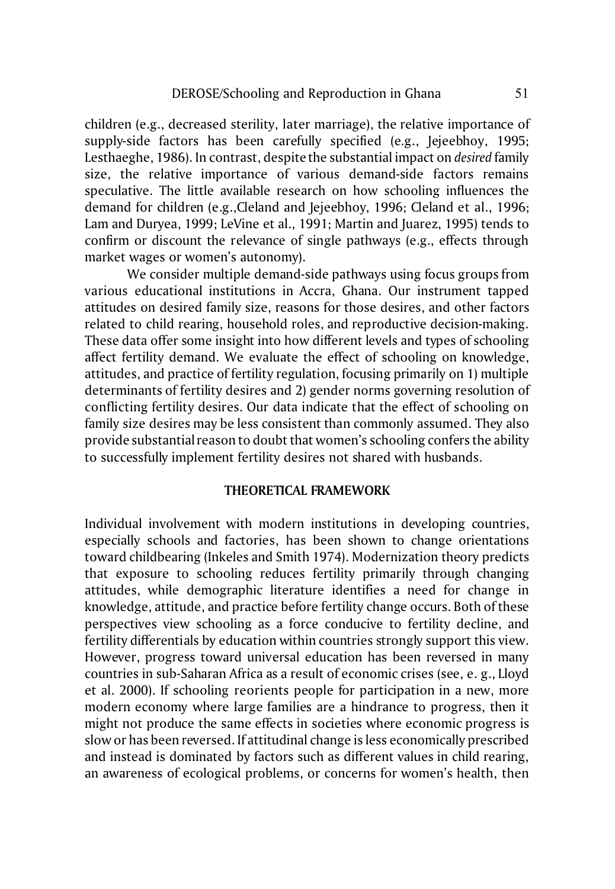children (e.g., decreased sterility, later marriage), the relative importance of supply-side factors has been carefully specified (e.g., Jejeebhoy, 1995; Lesthaeghe, 1986). In contrast, despite the substantial impact on *desired* family size, the relative importance of various demand-side factors remains speculative. The little available research on how schooling influences the demand for children (e.g.,Cleland and Jejeebhoy, 1996; Cleland et al., 1996; Lam and Duryea, 1999; LeVine et al., 1991; Martin and Juarez, 1995) tends to confirm or discount the relevance of single pathways (e.g., effects through market wages or women's autonomy).

We consider multiple demand-side pathways using focus groups from various educational institutions in Accra, Ghana. Our instrument tapped attitudes on desired family size, reasons for those desires, and other factors related to child rearing, household roles, and reproductive decision-making. These data offer some insight into how different levels and types of schooling affect fertility demand. We evaluate the effect of schooling on knowledge, attitudes, and practice of fertility regulation, focusing primarily on 1) multiple determinants of fertility desires and 2) gender norms governing resolution of conflicting fertility desires. Our data indicate that the effect of schooling on family size desires may be less consistent than commonly assumed. They also provide substantial reason to doubt that women's schooling confers the ability to successfully implement fertility desires not shared with husbands.

## **THEORETICAL FRAMEWORK**

Individual involvement with modern institutions in developing countries, especially schools and factories, has been shown to change orientations toward childbearing (Inkeles and Smith 1974). Modernization theory predicts that exposure to schooling reduces fertility primarily through changing attitudes, while demographic literature identifies a need for change in knowledge, attitude, and practice before fertility change occurs. Both of these perspectives view schooling as a force conducive to fertility decline, and fertility differentials by education within countries strongly support this view. However, progress toward universal education has been reversed in many countries in sub-Saharan Africa as a result of economic crises (see, e. g., Lloyd et al. 2000). If schooling reorients people for participation in a new, more modern economy where large families are a hindrance to progress, then it might not produce the same effects in societies where economic progress is slow or has been reversed. If attitudinal change is less economically prescribed and instead is dominated by factors such as different values in child rearing, an awareness of ecological problems, or concerns for women's health, then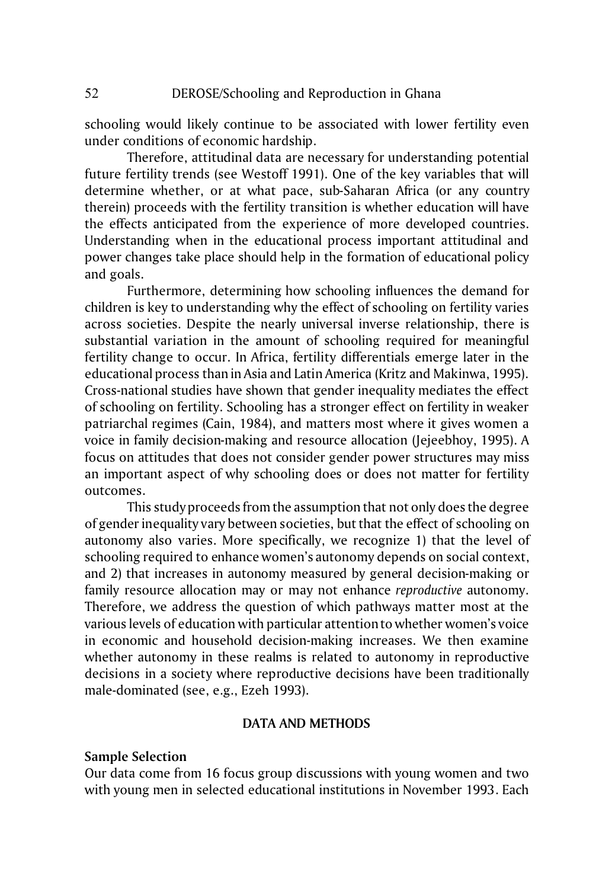schooling would likely continue to be associated with lower fertility even under conditions of economic hardship.

Therefore, attitudinal data are necessary for understanding potential future fertility trends (see Westoff 1991). One of the key variables that will determine whether, or at what pace, sub-Saharan Africa (or any country therein) proceeds with the fertility transition is whether education will have the effects anticipated from the experience of more developed countries. Understanding when in the educational process important attitudinal and power changes take place should help in the formation of educational policy and goals.

Furthermore, determining how schooling influences the demand for children is key to understanding why the effect of schooling on fertility varies across societies. Despite the nearly universal inverse relationship, there is substantial variation in the amount of schooling required for meaningful fertility change to occur. In Africa, fertility differentials emerge later in the educational process than in Asia and Latin America (Kritz and Makinwa, 1995). Cross-national studies have shown that gender inequality mediates the effect of schooling on fertility. Schooling has a stronger effect on fertility in weaker patriarchal regimes (Cain, 1984), and matters most where it gives women a voice in family decision-making and resource allocation (Jejeebhoy, 1995). A focus on attitudes that does not consider gender power structures may miss an important aspect of why schooling does or does not matter for fertility outcomes.

This study proceeds from the assumption that not only does the degree of gender inequality vary between societies, but that the effect of schooling on autonomy also varies. More specifically, we recognize 1) that the level of schooling required to enhance women's autonomy depends on social context, and 2) that increases in autonomy measured by general decision-making or family resource allocation may or may not enhance *reproductive* autonomy. Therefore, we address the question of which pathways matter most at the various levels of education with particular attention to whether women's voice in economic and household decision-making increases. We then examine whether autonomy in these realms is related to autonomy in reproductive decisions in a society where reproductive decisions have been traditionally male-dominated (see, e.g., Ezeh 1993).

## **DATA AND METHODS**

### **Sample Selection**

Our data come from 16 focus group discussions with young women and two with young men in selected educational institutions in November 1993. Each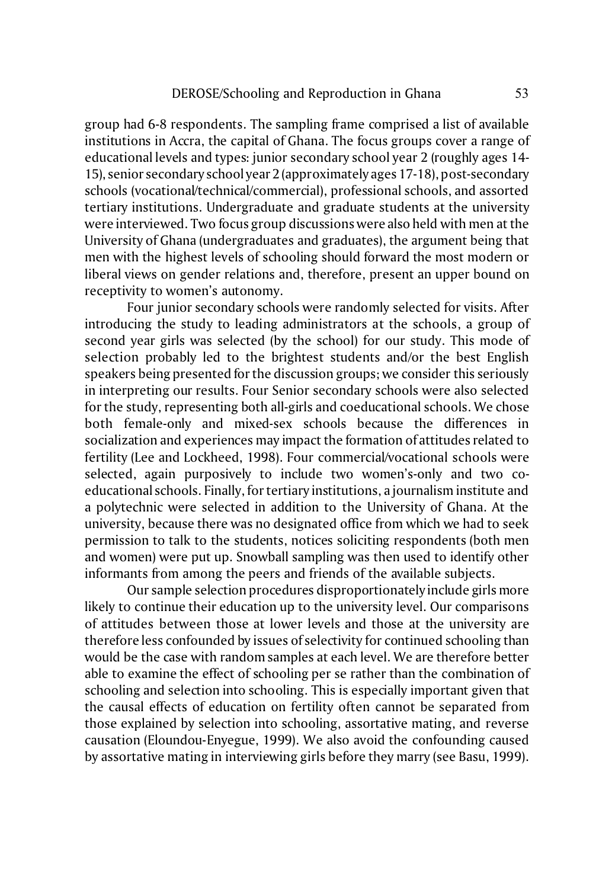group had 6-8 respondents. The sampling frame comprised a list of available institutions in Accra, the capital of Ghana. The focus groups cover a range of educational levels and types: junior secondary school year 2 (roughly ages 14- 15), senior secondary school year 2 (approximately ages 17-18), post-secondary schools (vocational/technical/commercial), professional schools, and assorted tertiary institutions. Undergraduate and graduate students at the university were interviewed. Two focus group discussions were also held with men at the University of Ghana (undergraduates and graduates), the argument being that men with the highest levels of schooling should forward the most modern or liberal views on gender relations and, therefore, present an upper bound on receptivity to women's autonomy.

Four junior secondary schools were randomly selected for visits. After introducing the study to leading administrators at the schools, a group of second year girls was selected (by the school) for our study. This mode of selection probably led to the brightest students and/or the best English speakers being presented for the discussion groups; we consider this seriously in interpreting our results. Four Senior secondary schools were also selected for the study, representing both all-girls and coeducational schools. We chose both female-only and mixed-sex schools because the differences in socialization and experiences may impact the formation of attitudes related to fertility (Lee and Lockheed, 1998). Four commercial/vocational schools were selected, again purposively to include two women's-only and two coeducational schools. Finally, for tertiary institutions, a journalism institute and a polytechnic were selected in addition to the University of Ghana. At the university, because there was no designated office from which we had to seek permission to talk to the students, notices soliciting respondents (both men and women) were put up. Snowball sampling was then used to identify other informants from among the peers and friends of the available subjects.

Our sample selection procedures disproportionately include girls more likely to continue their education up to the university level. Our comparisons of attitudes between those at lower levels and those at the university are therefore less confounded by issues of selectivity for continued schooling than would be the case with random samples at each level. We are therefore better able to examine the effect of schooling per se rather than the combination of schooling and selection into schooling. This is especially important given that the causal effects of education on fertility often cannot be separated from those explained by selection into schooling, assortative mating, and reverse causation (Eloundou-Enyegue, 1999). We also avoid the confounding caused by assortative mating in interviewing girls before they marry (see Basu, 1999).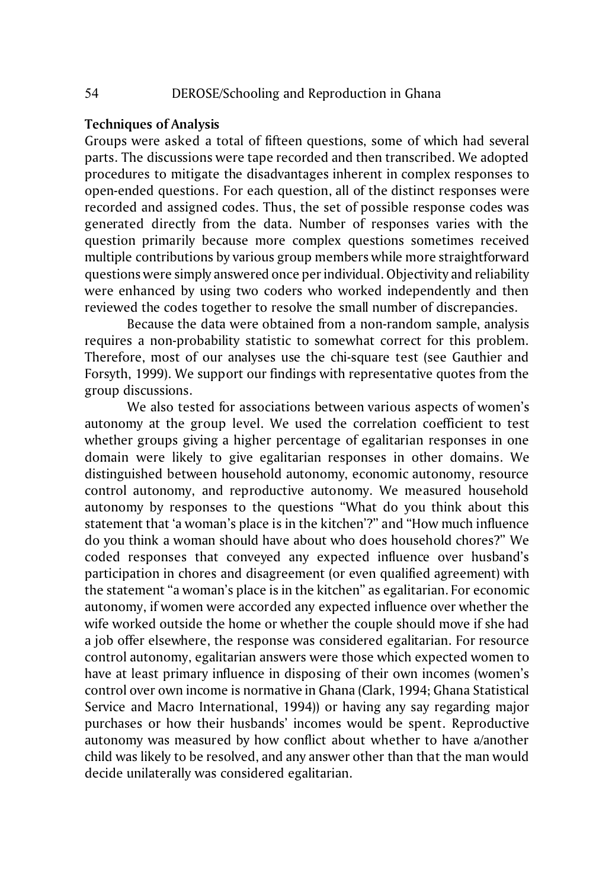## **Techniques of Analysis**

Groups were asked a total of fifteen questions, some of which had several parts. The discussions were tape recorded and then transcribed. We adopted procedures to mitigate the disadvantages inherent in complex responses to open-ended questions. For each question, all of the distinct responses were recorded and assigned codes. Thus, the set of possible response codes was generated directly from the data. Number of responses varies with the question primarily because more complex questions sometimes received multiple contributions by various group members while more straightforward questions were simply answered once per individual. Objectivity and reliability were enhanced by using two coders who worked independently and then reviewed the codes together to resolve the small number of discrepancies.

Because the data were obtained from a non-random sample, analysis requires a non-probability statistic to somewhat correct for this problem. Therefore, most of our analyses use the chi-square test (see Gauthier and Forsyth, 1999). We support our findings with representative quotes from the group discussions.

We also tested for associations between various aspects of women's autonomy at the group level. We used the correlation coefficient to test whether groups giving a higher percentage of egalitarian responses in one domain were likely to give egalitarian responses in other domains. We distinguished between household autonomy, economic autonomy, resource control autonomy, and reproductive autonomy. We measured household autonomy by responses to the questions "What do you think about this statement that 'a woman's place is in the kitchen'?" and "How much influence do you think a woman should have about who does household chores?" We coded responses that conveyed any expected influence over husband's participation in chores and disagreement (or even qualified agreement) with the statement "a woman's place is in the kitchen" as egalitarian. For economic autonomy, if women were accorded any expected influence over whether the wife worked outside the home or whether the couple should move if she had a job offer elsewhere, the response was considered egalitarian. For resource control autonomy, egalitarian answers were those which expected women to have at least primary influence in disposing of their own incomes (women's control over own income is normative in Ghana (Clark, 1994; Ghana Statistical Service and Macro International, 1994)) or having any say regarding major purchases or how their husbands' incomes would be spent. Reproductive autonomy was measured by how conflict about whether to have a/another child was likely to be resolved, and any answer other than that the man would decide unilaterally was considered egalitarian.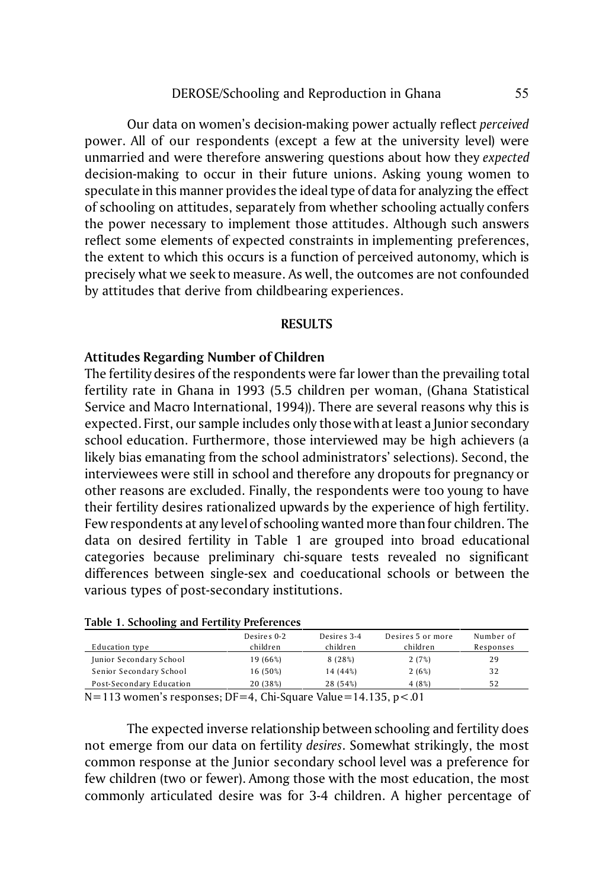Our data on women's decision-making power actually reflect *perceived* power. All of our respondents (except a few at the university level) were unmarried and were therefore answering questions about how they *expected* decision-making to occur in their future unions. Asking young women to speculate in this manner provides the ideal type of data for analyzing the effect of schooling on attitudes, separately from whether schooling actually confers the power necessary to implement those attitudes. Although such answers reflect some elements of expected constraints in implementing preferences, the extent to which this occurs is a function of perceived autonomy, which is precisely what we seek to measure. As well, the outcomes are not confounded by attitudes that derive from childbearing experiences.

### **RESULTS**

### **Attitudes Regarding Number of Children**

The fertility desires of the respondents were far lower than the prevailing total fertility rate in Ghana in 1993 (5.5 children per woman, (Ghana Statistical Service and Macro International, 1994)). There are several reasons why this is expected. First, our sample includes only those with at least a Junior secondary school education. Furthermore, those interviewed may be high achievers (a likely bias emanating from the school administrators' selections). Second, the interviewees were still in school and therefore any dropouts for pregnancy or other reasons are excluded. Finally, the respondents were too young to have their fertility desires rationalized upwards by the experience of high fertility. Few respondents at any level of schooling wanted more than four children. The data on desired fertility in Table 1 are grouped into broad educational categories because preliminary chi-square tests revealed no significant differences between single-sex and coeducational schools or between the various types of post-secondary institutions.

| Table 1. Schooling and Fertury Ficientities |             |             |                   |           |  |  |
|---------------------------------------------|-------------|-------------|-------------------|-----------|--|--|
|                                             | Desires 0-2 | Desires 3-4 | Desires 5 or more | Number of |  |  |
| Education type                              | children    | children    | children          | Responses |  |  |
| Junior Secondary School                     | 19 (66%)    | 8(28%)      | 2(7%)             | 29        |  |  |
| Senior Secondary School                     | 16 (50%)    | 14 (44%)    | 2(6%)             | 32        |  |  |
| Post-Secondary Education                    | 20 (38%)    | 28 (54%)    | 4 (8%)            | 52        |  |  |
|                                             |             |             |                   |           |  |  |

#### **Table 1. Schooling and Fertility Preferences**

N=113 women's responses; DF=4, Chi-Square Value=14.135, p<.01

The expected inverse relationship between schooling and fertility does not emerge from our data on fertility *desires*. Somewhat strikingly, the most common response at the Junior secondary school level was a preference for few children (two or fewer). Among those with the most education, the most commonly articulated desire was for 3-4 children. A higher percentage of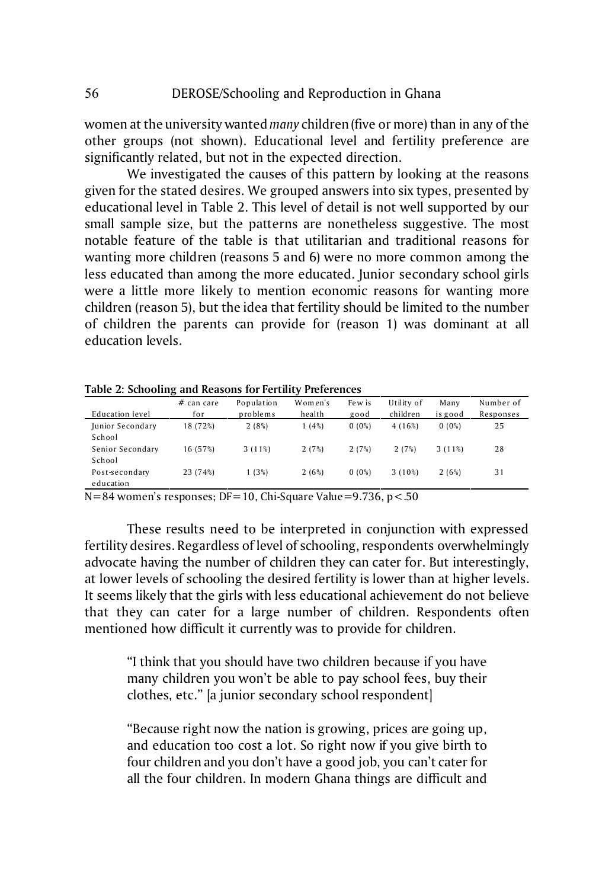women at the university wanted *many* children (five or more) than in any of the other groups (not shown). Educational level and fertility preference are significantly related, but not in the expected direction.

We investigated the causes of this pattern by looking at the reasons given for the stated desires. We grouped answers into six types, presented by educational level in Table 2. This level of detail is not well supported by our small sample size, but the patterns are nonetheless suggestive. The most notable feature of the table is that utilitarian and traditional reasons for wanting more children (reasons 5 and 6) were no more common among the less educated than among the more educated. Junior secondary school girls were a little more likely to mention economic reasons for wanting more children (reason 5), but the idea that fertility should be limited to the number of children the parents can provide for (reason 1) was dominant at all education levels.

| Education level             | $#$ can care<br>for | Population<br>problems | Women's<br>health | Few is<br>good | Utility of<br>children | Many<br>is good | Number of<br>Responses |
|-----------------------------|---------------------|------------------------|-------------------|----------------|------------------------|-----------------|------------------------|
| Junior Secondary<br>School  | 18 (72%)            | 2(8%)                  | 1(4%)             | 0(0%)          | 4(16%)                 | 0(0%)           | 25                     |
| Senior Secondary<br>School  | 16 (57%)            | 3(11%)                 | 2(7%)             | 2(7%)          | 2(7%)                  | 3(11%)          | 28                     |
| Post-secondary<br>education | 23 (74%)            | 1(3%)                  | 2(6%)             | 0(0%)          | $3(10\%)$              | 2(6%)           | 31                     |

**Table 2: Schooling and Reasons for Fertility Preferences**

N=84 women's responses; DF=10, Chi-Square Value=9.736, p<.50

These results need to be interpreted in conjunction with expressed fertility desires. Regardless of level of schooling, respondents overwhelmingly advocate having the number of children they can cater for. But interestingly, at lower levels of schooling the desired fertility is lower than at higher levels. It seems likely that the girls with less educational achievement do not believe that they can cater for a large number of children. Respondents often mentioned how difficult it currently was to provide for children.

"I think that you should have two children because if you have many children you won't be able to pay school fees, buy their clothes, etc." [a junior secondary school respondent]

"Because right now the nation is growing, prices are going up, and education too cost a lot. So right now if you give birth to four children and you don't have a good job, you can't cater for all the four children. In modern Ghana things are difficult and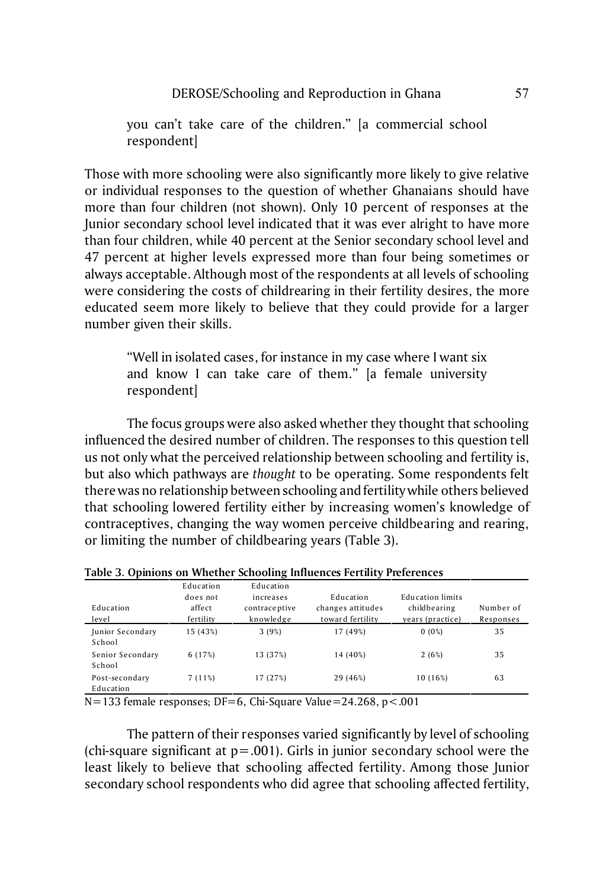you can't take care of the children." [a commercial school respondent]

Those with more schooling were also significantly more likely to give relative or individual responses to the question of whether Ghanaians should have more than four children (not shown). Only 10 percent of responses at the Junior secondary school level indicated that it was ever alright to have more than four children, while 40 percent at the Senior secondary school level and 47 percent at higher levels expressed more than four being sometimes or always acceptable. Although most of the respondents at all levels of schooling were considering the costs of childrearing in their fertility desires, the more educated seem more likely to believe that they could provide for a larger number given their skills.

"Well in isolated cases, for instance in my case where I want six and know I can take care of them." [a female university respondent]

The focus groups were also asked whether they thought that schooling influenced the desired number of children. The responses to this question tell us not only what the perceived relationship between schooling and fertility is, but also which pathways are *thought* to be operating. Some respondents felt there was no relationship between schooling and fertility while others believed that schooling lowered fertility either by increasing women's knowledge of contraceptives, changing the way women perceive childbearing and rearing, or limiting the number of childbearing years (Table 3).

| Education<br>level          | Education<br>does not<br>affect<br>fertility | Education<br>increases<br>contraceptive<br>knowledge | Education<br>changes attitudes<br>toward fertility | Education limits<br>childbearing<br>vears (practice) | Number of<br>Responses |
|-----------------------------|----------------------------------------------|------------------------------------------------------|----------------------------------------------------|------------------------------------------------------|------------------------|
| Junior Secondary<br>School  | 15 (43%)                                     | 3(9%)                                                | 17 (49%)                                           | 0(0%)                                                | 35                     |
| Senior Secondary<br>School  | 6 (17%)                                      | 13 (37%)                                             | 14 (40%)                                           | 2(6%)                                                | 35                     |
| Post-secondary<br>Education | 7(11%)                                       | 17 (27%)                                             | 29 (46%)                                           | 10 (16%)                                             | 63                     |

**Table 3. Opinions on Whether Schooling Influences Fertility Preferences**

 $N=133$  female responses; DF=6, Chi-Square Value=24.268, p<.001

The pattern of their responses varied significantly by level of schooling (chi-square significant at  $p = .001$ ). Girls in junior secondary school were the least likely to believe that schooling affected fertility. Among those Junior secondary school respondents who did agree that schooling affected fertility,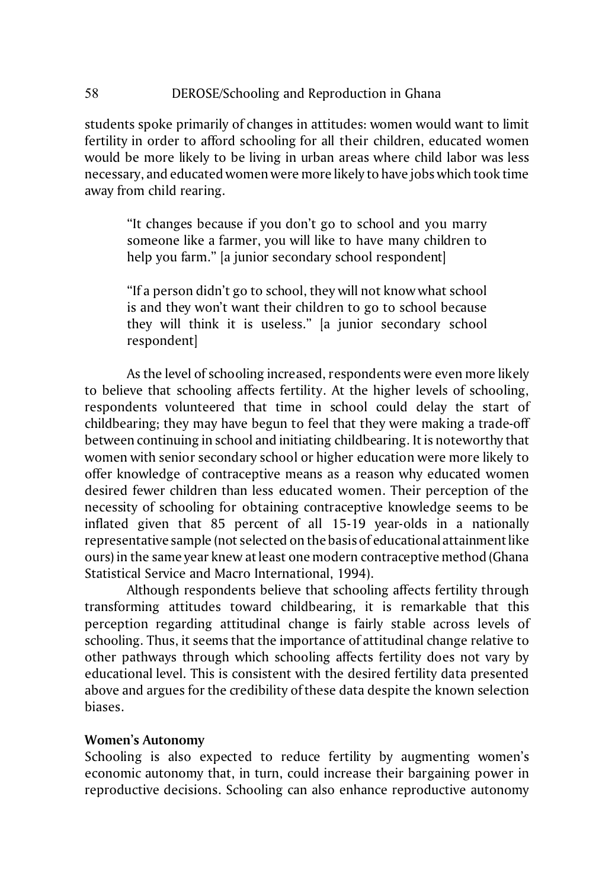## 58 DEROSE/Schooling and Reproduction in Ghana

students spoke primarily of changes in attitudes: women would want to limit fertility in order to afford schooling for all their children, educated women would be more likely to be living in urban areas where child labor was less necessary, and educated women were more likely to have jobs which took time away from child rearing.

"It changes because if you don't go to school and you marry someone like a farmer, you will like to have many children to help you farm." [a junior secondary school respondent]

"If a person didn't go to school, they will not know what school is and they won't want their children to go to school because they will think it is useless." [a junior secondary school respondent]

As the level of schooling increased, respondents were even more likely to believe that schooling affects fertility. At the higher levels of schooling, respondents volunteered that time in school could delay the start of childbearing; they may have begun to feel that they were making a trade-off between continuing in school and initiating childbearing. It is noteworthy that women with senior secondary school or higher education were more likely to offer knowledge of contraceptive means as a reason why educated women desired fewer children than less educated women. Their perception of the necessity of schooling for obtaining contraceptive knowledge seems to be inflated given that 85 percent of all 15-19 year-olds in a nationally representative sample (not selected on the basis of educational attainment like ours) in the same year knew at least one modern contraceptive method (Ghana Statistical Service and Macro International, 1994).

Although respondents believe that schooling affects fertility through transforming attitudes toward childbearing, it is remarkable that this perception regarding attitudinal change is fairly stable across levels of schooling. Thus, it seems that the importance of attitudinal change relative to other pathways through which schooling affects fertility does not vary by educational level. This is consistent with the desired fertility data presented above and argues for the credibility of these data despite the known selection biases.

## **Women's Autonomy**

Schooling is also expected to reduce fertility by augmenting women's economic autonomy that, in turn, could increase their bargaining power in reproductive decisions. Schooling can also enhance reproductive autonomy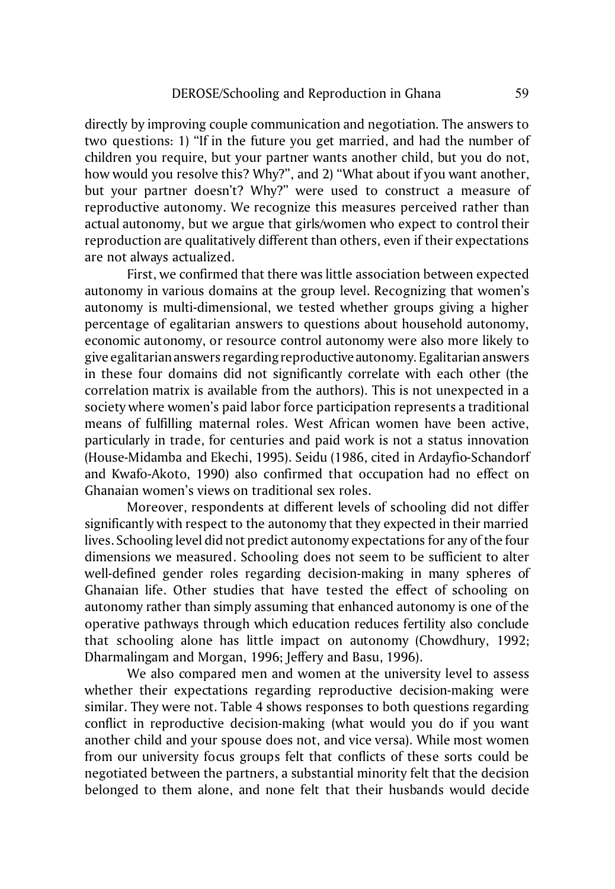directly by improving couple communication and negotiation. The answers to two questions: 1) "If in the future you get married, and had the number of children you require, but your partner wants another child, but you do not, how would you resolve this? Why?", and 2) "What about if you want another, but your partner doesn't? Why?" were used to construct a measure of reproductive autonomy. We recognize this measures perceived rather than actual autonomy, but we argue that girls/women who expect to control their reproduction are qualitatively different than others, even if their expectations are not always actualized.

First, we confirmed that there was little association between expected autonomy in various domains at the group level. Recognizing that women's autonomy is multi-dimensional, we tested whether groups giving a higher percentage of egalitarian answers to questions about household autonomy, economic autonomy, or resource control autonomy were also more likely to give egalitarian answers regarding reproductiveautonomy. Egalitarian answers in these four domains did not significantly correlate with each other (the correlation matrix is available from the authors). This is not unexpected in a society where women's paid labor force participation represents a traditional means of fulfilling maternal roles. West African women have been active, particularly in trade, for centuries and paid work is not a status innovation (House-Midamba and Ekechi, 1995). Seidu (1986, cited in Ardayfio-Schandorf and Kwafo-Akoto, 1990) also confirmed that occupation had no effect on Ghanaian women's views on traditional sex roles.

Moreover, respondents at different levels of schooling did not differ significantly with respect to the autonomy that they expected in their married lives. Schooling level did not predict autonomy expectations for any of the four dimensions we measured. Schooling does not seem to be sufficient to alter well-defined gender roles regarding decision-making in many spheres of Ghanaian life. Other studies that have tested the effect of schooling on autonomy rather than simply assuming that enhanced autonomy is one of the operative pathways through which education reduces fertility also conclude that schooling alone has little impact on autonomy (Chowdhury, 1992; Dharmalingam and Morgan, 1996; Jeffery and Basu, 1996).

We also compared men and women at the university level to assess whether their expectations regarding reproductive decision-making were similar. They were not. Table 4 shows responses to both questions regarding conflict in reproductive decision-making (what would you do if you want another child and your spouse does not, and vice versa). While most women from our university focus groups felt that conflicts of these sorts could be negotiated between the partners, a substantial minority felt that the decision belonged to them alone, and none felt that their husbands would decide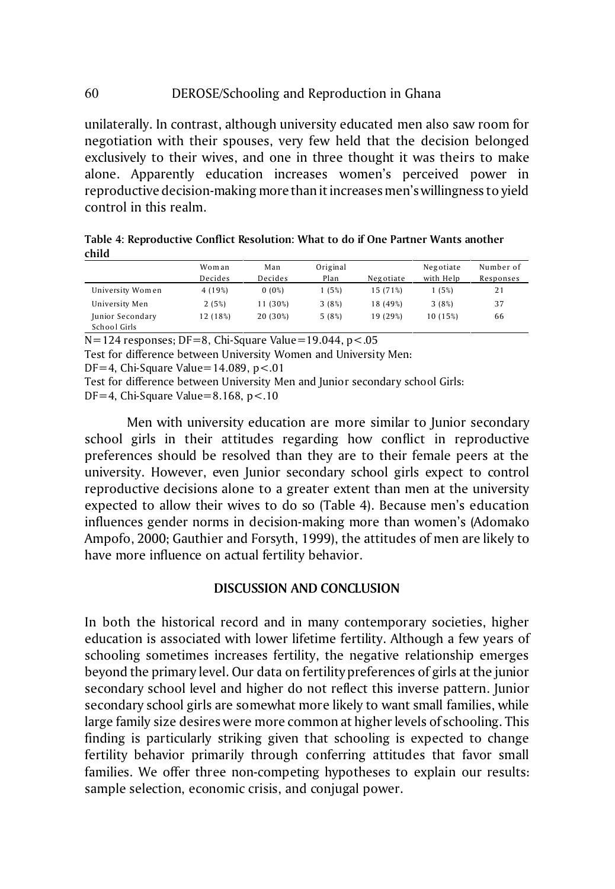# 60 DEROSE/Schooling and Reproduction in Ghana

unilaterally. In contrast, although university educated men also saw room for negotiation with their spouses, very few held that the decision belonged exclusively to their wives, and one in three thought it was theirs to make alone. Apparently education increases women's perceived power in reproductive decision-making more than it increases men's willingness to yield control in this realm.

| Table 4: Reproductive Conflict Resolution: What to do if One Partner Wants another |  |
|------------------------------------------------------------------------------------|--|
| child                                                                              |  |

|                                  | Woman    | Man      | Original |           | Negotiate | Number of |
|----------------------------------|----------|----------|----------|-----------|-----------|-----------|
|                                  | Decides  | Decides  | Plan     | Negotiate | with Help | Responses |
| University Women                 | 4 (19%)  | 0(0%)    | 1(5%)    | 15 (71%)  | 1(5%)     | 21        |
| University Men                   | 2(5%)    | 11 (30%) | 3(8%)    | 18 (49%)  | 3(8%)     | 37        |
| Junior Secondary<br>School Girls | 12 (18%) | 20 (30%) | 5(8%)    | 19 (29%)  | 10 (15%)  | 66        |

 $N=124$  responses; DF=8, Chi-Square Value=19.044, p < .05

Test for difference between University Women and University Men:

DF=4, Chi-Square Value=14.089,  $p < 01$ 

Test for difference between University Men and Junior secondary school Girls:

DF=4, Chi-Square Value=8.168, p<.10

Men with university education are more similar to Junior secondary school girls in their attitudes regarding how conflict in reproductive preferences should be resolved than they are to their female peers at the university. However, even Junior secondary school girls expect to control reproductive decisions alone to a greater extent than men at the university expected to allow their wives to do so (Table 4). Because men's education influences gender norms in decision-making more than women's (Adomako Ampofo, 2000; Gauthier and Forsyth, 1999), the attitudes of men are likely to have more influence on actual fertility behavior.

## **DISCUSSION AND CONCLUSION**

In both the historical record and in many contemporary societies, higher education is associated with lower lifetime fertility. Although a few years of schooling sometimes increases fertility, the negative relationship emerges beyond the primary level. Our data on fertility preferences of girls at the junior secondary school level and higher do not reflect this inverse pattern. Junior secondary school girls are somewhat more likely to want small families, while large family size desires were more common at higher levels of schooling. This finding is particularly striking given that schooling is expected to change fertility behavior primarily through conferring attitudes that favor small families. We offer three non-competing hypotheses to explain our results: sample selection, economic crisis, and conjugal power.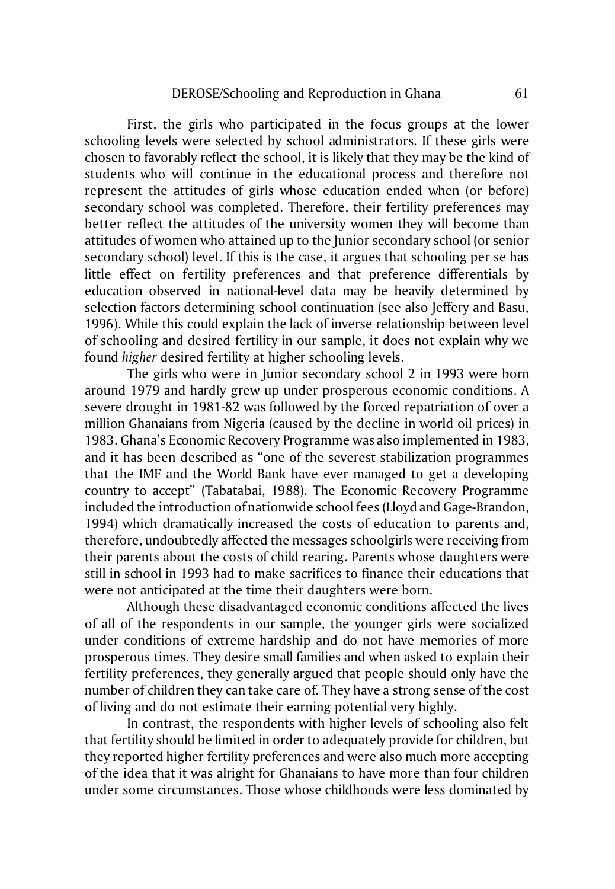First, the girls who participated in the focus groups at the lower schooling levels were selected by school administrators. If these girls were chosen to favorably reflect the school, it is likely that they may be the kind of students who will continue in the educational process and therefore not represent the attitudes of girls whose education ended when (or before) secondary school was completed. Therefore, their fertility preferences may better reflect the attitudes of the university women they will become than attitudes of women who attained up to the Junior secondary school (or senior secondary school) level. If this is the case, it argues that schooling per se has little effect on fertility preferences and that preference differentials by education observed in national-level data may be heavily determined by selection factors determining school continuation (see also Jeffery and Basu, 1996). While this could explain the lack of inverse relationship between level of schooling and desired fertility in our sample, it does not explain why we found *higher* desired fertility at higher schooling levels.

The girls who were in Junior secondary school 2 in 1993 were born around 1979 and hardly grew up under prosperous economic conditions. A severe drought in 1981-82 was followed by the forced repatriation of over a million Ghanaians from Nigeria (caused by the decline in world oil prices) in 1983. Ghana's Economic Recovery Programme was also implemented in 1983, and it has been described as "one of the severest stabilization programmes that the IMF and the World Bank have ever managed to get a developing country to accept" (Tabatabai, 1988). The Economic Recovery Programme included the introduction of nationwide school fees (Lloyd and Gage-Brandon, 1994) which dramatically increased the costs of education to parents and, therefore, undoubtedly affected the messages schoolgirls were receiving from their parents about the costs of child rearing. Parents whose daughters were still in school in 1993 had to make sacrifices to finance their educations that were not anticipated at the time their daughters were born.

Although these disadvantaged economic conditions affected the lives of all of the respondents in our sample, the younger girls were socialized under conditions of extreme hardship and do not have memories of more prosperous times. They desire small families and when asked to explain their fertility preferences, they generally argued that people should only have the number of children they can take care of. They have a strong sense of the cost of living and do not estimate their earning potential very highly.

In contrast, the respondents with higher levels of schooling also felt that fertility should be limited in order to adequately provide for children, but they reported higher fertility preferences and were also much more accepting of the idea that it was alright for Ghanaians to have more than four children under some circumstances. Those whose childhoods were less dominated by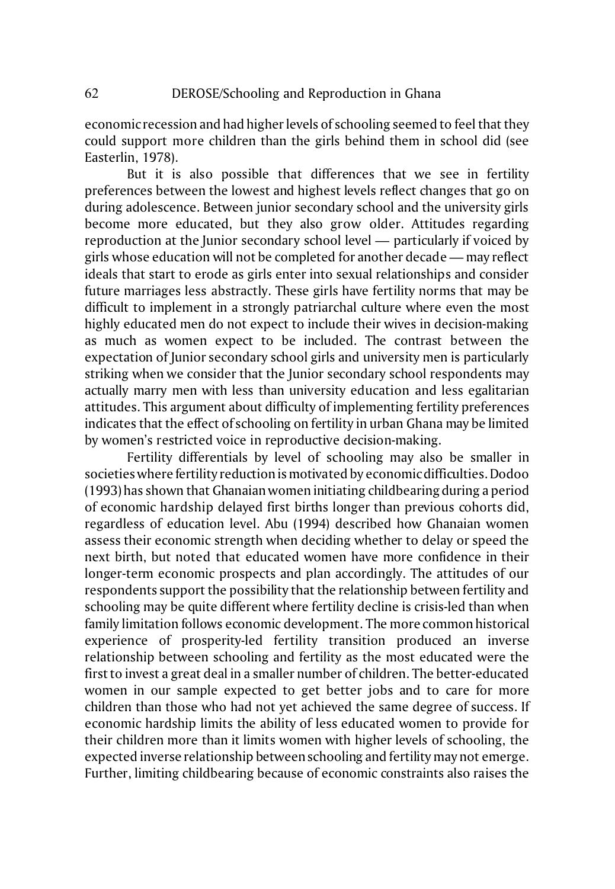economic recession and had higher levels of schooling seemed to feel that they could support more children than the girls behind them in school did (see Easterlin, 1978).

But it is also possible that differences that we see in fertility preferences between the lowest and highest levels reflect changes that go on during adolescence. Between junior secondary school and the university girls become more educated, but they also grow older. Attitudes regarding reproduction at the Junior secondary school level — particularly if voiced by girls whose education will not be completed for another decade — may reflect ideals that start to erode as girls enter into sexual relationships and consider future marriages less abstractly. These girls have fertility norms that may be difficult to implement in a strongly patriarchal culture where even the most highly educated men do not expect to include their wives in decision-making as much as women expect to be included. The contrast between the expectation of Junior secondary school girls and university men is particularly striking when we consider that the Junior secondary school respondents may actually marry men with less than university education and less egalitarian attitudes. This argument about difficulty of implementing fertility preferences indicates that the effect of schooling on fertility in urban Ghana may be limited by women's restricted voice in reproductive decision-making.

Fertility differentials by level of schooling may also be smaller in societies where fertility reduction is motivated by economic difficulties. Dodoo (1993) has shown that Ghanaian women initiating childbearing during a period of economic hardship delayed first births longer than previous cohorts did, regardless of education level. Abu (1994) described how Ghanaian women assess their economic strength when deciding whether to delay or speed the next birth, but noted that educated women have more confidence in their longer-term economic prospects and plan accordingly. The attitudes of our respondents support the possibility that the relationship between fertility and schooling may be quite different where fertility decline is crisis-led than when family limitation follows economic development. The more common historical experience of prosperity-led fertility transition produced an inverse relationship between schooling and fertility as the most educated were the first to invest a great deal in a smaller number of children. The better-educated women in our sample expected to get better jobs and to care for more children than those who had not yet achieved the same degree of success. If economic hardship limits the ability of less educated women to provide for their children more than it limits women with higher levels of schooling, the expected inverse relationship between schooling and fertility may not emerge. Further, limiting childbearing because of economic constraints also raises the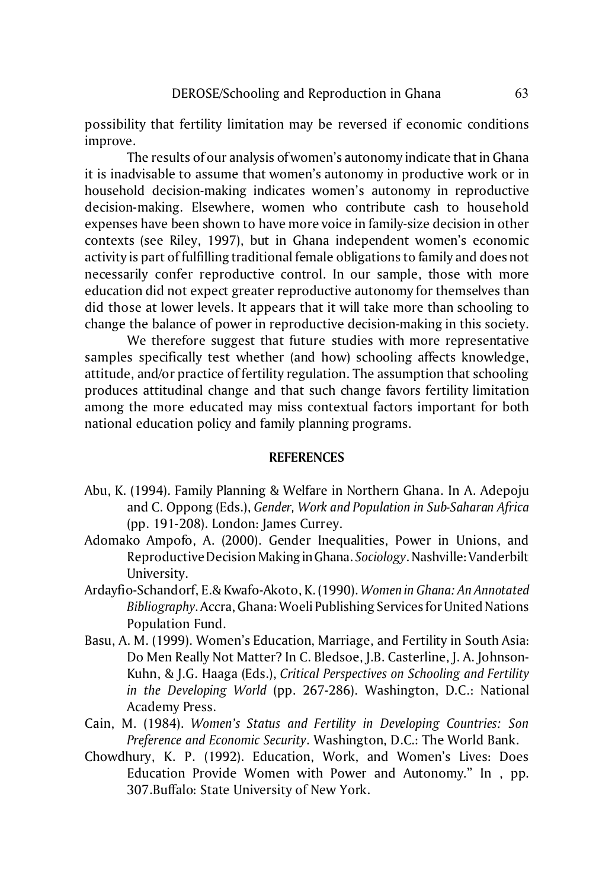possibility that fertility limitation may be reversed if economic conditions improve.

The results of our analysis of women's autonomy indicate that in Ghana it is inadvisable to assume that women's autonomy in productive work or in household decision-making indicates women's autonomy in reproductive decision-making. Elsewhere, women who contribute cash to household expenses have been shown to have more voice in family-size decision in other contexts (see Riley, 1997), but in Ghana independent women's economic activity is part of fulfilling traditional female obligations to family and does not necessarily confer reproductive control. In our sample, those with more education did not expect greater reproductive autonomy for themselves than did those at lower levels. It appears that it will take more than schooling to change the balance of power in reproductive decision-making in this society.

We therefore suggest that future studies with more representative samples specifically test whether (and how) schooling affects knowledge, attitude, and/or practice of fertility regulation. The assumption that schooling produces attitudinal change and that such change favors fertility limitation among the more educated may miss contextual factors important for both national education policy and family planning programs.

### **REFERENCES**

- Abu, K. (1994). Family Planning & Welfare in Northern Ghana. In A. Adepoju and C. Oppong (Eds.), *Gender, Work and Population in Sub-Saharan Africa* (pp. 191-208). London: James Currey.
- Adomako Ampofo, A. (2000). Gender Inequalities, Power in Unions, and Reproductive Decision MakinginGhana. *Sociology*. Nashville: Vanderbilt University.
- Ardayfio-Schandorf, E.& Kwafo-Akoto, K. (1990). *Women in Ghana: An Annotated Bibliography*. Accra, Ghana: Woeli Publishing Services for United Nations Population Fund.
- Basu, A. M. (1999). Women's Education, Marriage, and Fertility in South Asia: Do Men Really Not Matter? In C. Bledsoe, J.B. Casterline, J. A. Johnson-Kuhn, & J.G. Haaga (Eds.), *Critical Perspectives on Schooling and Fertility in the Developing World* (pp. 267-286). Washington, D.C.: National Academy Press.
- Cain, M. (1984). *Women's Status and Fertility in Developing Countries: Son Preference and Economic Security*. Washington, D.C.: The World Bank.
- Chowdhury, K. P. (1992). Education, Work, and Women's Lives: Does Education Provide Women with Power and Autonomy." In , pp. 307.Buffalo: State University of New York.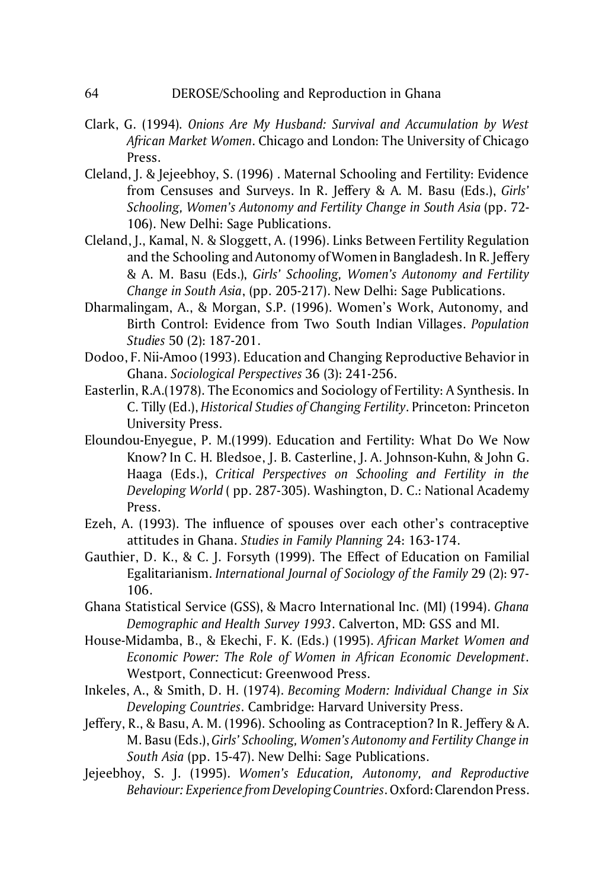- Clark, G. (1994). *Onions Are My Husband: Survival and Accumulation by West African Market Women*. Chicago and London: The University of Chicago Press.
- Cleland, J. & Jejeebhoy, S. (1996) . Maternal Schooling and Fertility: Evidence from Censuses and Surveys. In R. Jeffery & A. M. Basu (Eds.), *Girls' Schooling, Women's Autonomy and Fertility Change in South Asia* (pp. 72- 106). New Delhi: Sage Publications.
- Cleland, J., Kamal, N. & Sloggett, A. (1996). Links Between Fertility Regulation and the Schooling and Autonomy of Women in Bangladesh. In R. Jeffery & A. M. Basu (Eds.), *Girls' Schooling, Women's Autonomy and Fertility Change in South Asia*, (pp. 205-217). New Delhi: Sage Publications.
- Dharmalingam, A., & Morgan, S.P. (1996). Women's Work, Autonomy, and Birth Control: Evidence from Two South Indian Villages. *Population Studies* 50 (2): 187-201.
- Dodoo, F. Nii-Amoo (1993). Education and Changing Reproductive Behavior in Ghana. *Sociological Perspectives* 36 (3): 241-256.
- Easterlin, R.A.(1978). The Economics and Sociology of Fertility: A Synthesis. In C. Tilly (Ed.), *Historical Studies of Changing Fertility*. Princeton: Princeton University Press.
- Eloundou-Enyegue, P. M.(1999). Education and Fertility: What Do We Now Know? In C. H. Bledsoe, J. B. Casterline, J. A. Johnson-Kuhn, & John G. Haaga (Eds.), *Critical Perspectives on Schooling and Fertility in the Developing World* ( pp. 287-305). Washington, D. C.: National Academy Press.
- Ezeh, A. (1993). The influence of spouses over each other's contraceptive attitudes in Ghana. *Studies in Family Planning* 24: 163-174.
- Gauthier, D. K., & C. J. Forsyth (1999). The Effect of Education on Familial Egalitarianism. *International Journal of Sociology of the Family* 29 (2): 97- 106.
- Ghana Statistical Service (GSS), & Macro International Inc. (MI) (1994). *Ghana Demographic and Health Survey 1993*. Calverton, MD: GSS and MI.
- House-Midamba, B., & Ekechi, F. K. (Eds.) (1995). *African Market Women and Economic Power: The Role of Women in African Economic Development*. Westport, Connecticut: Greenwood Press.
- Inkeles, A., & Smith, D. H. (1974). *Becoming Modern: Individual Change in Six Developing Countries*. Cambridge: Harvard University Press.
- Jeffery, R., & Basu, A. M. (1996). Schooling as Contraception? In R. Jeffery & A. M. Basu (Eds.), *Girls' Schooling, Women's Autonomy and Fertility Change in South Asia* (pp. 15-47). New Delhi: Sage Publications.
- Jejeebhoy, S. J. (1995). *Women's Education, Autonomy, and Reproductive Behaviour: Experience from Developing Countries*. Oxford:Clarendon Press.